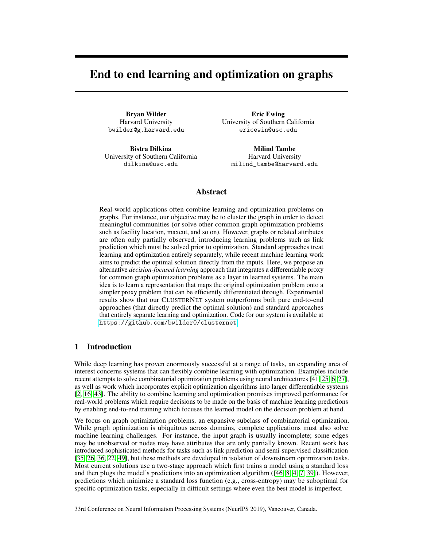# End to end learning and optimization on graphs

Bryan Wilder Harvard University bwilder@g.harvard.edu

Bistra Dilkina University of Southern California dilkina@usc.edu

Eric Ewing University of Southern California ericewin@usc.edu

Milind Tambe Harvard University milind\_tambe@harvard.edu

## Abstract

Real-world applications often combine learning and optimization problems on graphs. For instance, our objective may be to cluster the graph in order to detect meaningful communities (or solve other common graph optimization problems such as facility location, maxcut, and so on). However, graphs or related attributes are often only partially observed, introducing learning problems such as link prediction which must be solved prior to optimization. Standard approaches treat learning and optimization entirely separately, while recent machine learning work aims to predict the optimal solution directly from the inputs. Here, we propose an alternative *decision-focused learning* approach that integrates a differentiable proxy for common graph optimization problems as a layer in learned systems. The main idea is to learn a representation that maps the original optimization problem onto a simpler proxy problem that can be efficiently differentiated through. Experimental results show that our CLUSTERNET system outperforms both pure end-to-end approaches (that directly predict the optimal solution) and standard approaches that entirely separate learning and optimization. Code for our system is available at <https://github.com/bwilder0/clusternet>.

## 1 Introduction

While deep learning has proven enormously successful at a range of tasks, an expanding area of interest concerns systems that can flexibly combine learning with optimization. Examples include recent attempts to solve combinatorial optimization problems using neural architectures [\[41,](#page-10-0) [25,](#page-10-1) [6,](#page-9-0) [27\]](#page-10-2), as well as work which incorporates explicit optimization algorithms into larger differentiable systems [\[2,](#page-8-0) [16,](#page-9-1) [43\]](#page-10-3). The ability to combine learning and optimization promises improved performance for real-world problems which require decisions to be made on the basis of machine learning predictions by enabling end-to-end training which focuses the learned model on the decision problem at hand.

We focus on graph optimization problems, an expansive subclass of combinatorial optimization. While graph optimization is ubiquitous across domains, complete applications must also solve machine learning challenges. For instance, the input graph is usually incomplete; some edges may be unobserved or nodes may have attributes that are only partially known. Recent work has introduced sophisticated methods for tasks such as link prediction and semi-supervised classification [\[35,](#page-10-4) [26,](#page-10-5) [36,](#page-10-6) [22,](#page-9-2) [49\]](#page-11-0), but these methods are developed in isolation of downstream optimization tasks. Most current solutions use a two-stage approach which first trains a model using a standard loss and then plugs the model's predictions into an optimization algorithm ([\[46,](#page-11-1) [8,](#page-9-3) [4,](#page-9-4) [7,](#page-9-5) [39\]](#page-10-7)). However, predictions which minimize a standard loss function (e.g., cross-entropy) may be suboptimal for specific optimization tasks, especially in difficult settings where even the best model is imperfect.

33rd Conference on Neural Information Processing Systems (NeurIPS 2019), Vancouver, Canada.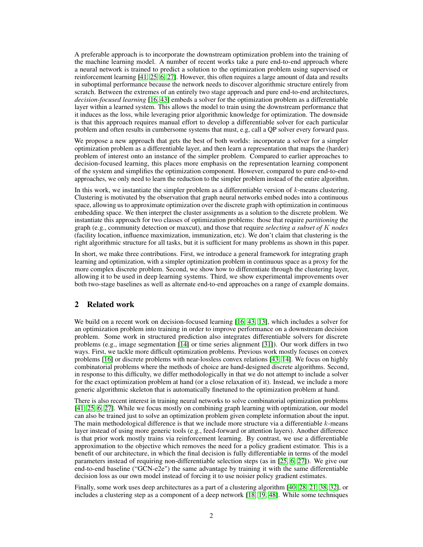A preferable approach is to incorporate the downstream optimization problem into the training of the machine learning model. A number of recent works take a pure end-to-end approach where a neural network is trained to predict a solution to the optimization problem using supervised or reinforcement learning [\[41,](#page-10-0) [25,](#page-10-1) [6,](#page-9-0) [27\]](#page-10-2). However, this often requires a large amount of data and results in suboptimal performance because the network needs to discover algorithmic structure entirely from scratch. Between the extremes of an entirely two stage approach and pure end-to-end architectures, *decision-focused learning* [\[16,](#page-9-1) [43\]](#page-10-3) embeds a solver for the optimization problem as a differentiable layer within a learned system. This allows the model to train using the downstream performance that it induces as the loss, while leveraging prior algorithmic knowledge for optimization. The downside is that this approach requires manual effort to develop a differentiable solver for each particular problem and often results in cumbersome systems that must, e.g, call a QP solver every forward pass.

We propose a new approach that gets the best of both worlds: incorporate a solver for a simpler optimization problem as a differentiable layer, and then learn a representation that maps the (harder) problem of interest onto an instance of the simpler problem. Compared to earlier approaches to decision-focused learning, this places more emphasis on the representation learning component of the system and simplifies the optimization component. However, compared to pure end-to-end approaches, we only need to learn the reduction to the simpler problem instead of the entire algorithm.

In this work, we instantiate the simpler problem as a differentiable version of  $k$ -means clustering. Clustering is motivated by the observation that graph neural networks embed nodes into a continuous space, allowing us to approximate optimization over the discrete graph with optimization in continuous embedding space. We then interpret the cluster assignments as a solution to the discrete problem. We instantiate this approach for two classes of optimization problems: those that require *partitioning* the graph (e.g., community detection or maxcut), and those that require *selecting a subset of* K *nodes* (facility location, influence maximization, immunization, etc). We don't claim that clustering is the right algorithmic structure for all tasks, but it is sufficient for many problems as shown in this paper.

In short, we make three contributions. First, we introduce a general framework for integrating graph learning and optimization, with a simpler optimization problem in continuous space as a proxy for the more complex discrete problem. Second, we show how to differentiate through the clustering layer, allowing it to be used in deep learning systems. Third, we show experimental improvements over both two-stage baselines as well as alternate end-to-end approaches on a range of example domains.

## 2 Related work

We build on a recent work on decision-focused learning [\[16,](#page-9-1) [43,](#page-10-3) [13\]](#page-9-6), which includes a solver for an optimization problem into training in order to improve performance on a downstream decision problem. Some work in structured prediction also integrates differentiable solvers for discrete problems (e.g., image segmentation [\[14\]](#page-9-7) or time series alignment [\[31\]](#page-10-8)). Our work differs in two ways. First, we tackle more difficult optimization problems. Previous work mostly focuses on convex problems [\[16\]](#page-9-1) or discrete problems with near-lossless convex relations [\[43,](#page-10-3) [14\]](#page-9-7). We focus on highly combinatorial problems where the methods of choice are hand-designed discrete algorithms. Second, in response to this difficulty, we differ methodologically in that we do not attempt to include a solver for the exact optimization problem at hand (or a close relaxation of it). Instead, we include a more generic algorithmic skeleton that is automatically finetuned to the optimization problem at hand.

There is also recent interest in training neural networks to solve combinatorial optimization problems [\[41,](#page-10-0) [25,](#page-10-1) [6,](#page-9-0) [27\]](#page-10-2). While we focus mostly on combining graph learning with optimization, our model can also be trained just to solve an optimization problem given complete information about the input. The main methodological difference is that we include more structure via a differentiable  $k$ -means layer instead of using more generic tools (e.g., feed-forward or attention layers). Another difference is that prior work mostly trains via reinforcement learning. By contrast, we use a differentiable approximation to the objective which removes the need for a policy gradient estimator. This is a benefit of our architecture, in which the final decision is fully differentiable in terms of the model parameters instead of requiring non-differentiable selection steps (as in [\[25,](#page-10-1) [6,](#page-9-0) [27\]](#page-10-2)). We give our end-to-end baseline ("GCN-e2e") the same advantage by training it with the same differentiable decision loss as our own model instead of forcing it to use noisier policy gradient estimates.

Finally, some work uses deep architectures as a part of a clustering algorithm [\[40,](#page-10-9) [28,](#page-10-10) [21,](#page-9-8) [38,](#page-10-11) [32\]](#page-10-12), or includes a clustering step as a component of a deep network [\[18,](#page-9-9) [19,](#page-9-10) [48\]](#page-11-2). While some techniques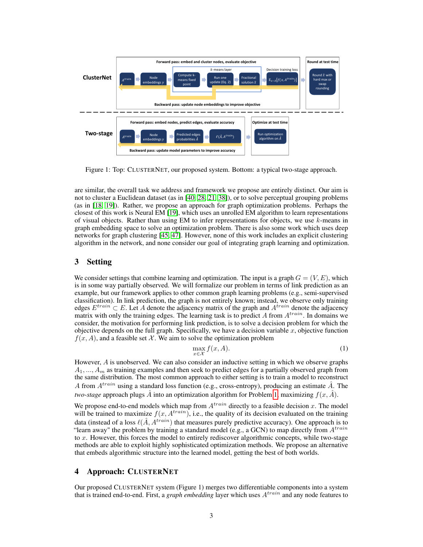

Figure 1: Top: CLUSTERNET, our proposed system. Bottom: a typical two-stage approach.

are similar, the overall task we address and framework we propose are entirely distinct. Our aim is not to cluster a Euclidean dataset (as in [\[40,](#page-10-9) [28,](#page-10-10) [21,](#page-9-8) [38\]](#page-10-11)), or to solve perceptual grouping problems (as in [\[18,](#page-9-9) [19\]](#page-9-10)). Rather, we propose an approach for graph optimization problems. Perhaps the closest of this work is Neural EM [\[19\]](#page-9-10), which uses an unrolled EM algorithm to learn representations of visual objects. Rather than using EM to infer representations for objects, we use  $k$ -means in graph embedding space to solve an optimization problem. There is also some work which uses deep networks for graph clustering [\[45,](#page-11-3) [47\]](#page-11-4). However, none of this work includes an explicit clustering algorithm in the network, and none consider our goal of integrating graph learning and optimization.

## 3 Setting

We consider settings that combine learning and optimization. The input is a graph  $G = (V, E)$ , which is in some way partially observed. We will formalize our problem in terms of link prediction as an example, but our framework applies to other common graph learning problems (e.g., semi-supervised classification). In link prediction, the graph is not entirely known; instead, we observe only training edges  $E^{train} \subset E$ . Let A denote the adjacency matrix of the graph and  $A^{train}$  denote the adjacency matrix with only the training edges. The learning task is to predict A from  $A^{train}$ . In domains we consider, the motivation for performing link prediction, is to solve a decision problem for which the objective depends on the full graph. Specifically, we have a decision variable  $x$ , objective function  $f(x, A)$ , and a feasible set X. We aim to solve the optimization problem

<span id="page-2-0"></span>
$$
\max_{x \in \mathcal{X}} f(x, A). \tag{1}
$$

However, A is unobserved. We can also consider an inductive setting in which we observe graphs  $A_1, ..., A_m$  as training examples and then seek to predict edges for a partially observed graph from the same distribution. The most common approach to either setting is to train a model to reconstruct A from  $A^{train}$  using a standard loss function (e.g., cross-entropy), producing an estimate A. The *two-stage* approach plugs  $\hat{A}$  into an optimization algorithm for Problem [1,](#page-2-0) maximizing  $f(x, \hat{A})$ .

We propose end-to-end models which map from  $A^{train}$  directly to a feasible decision x. The model will be trained to maximize  $f(x, A^{train})$ , i.e., the quality of its decision evaluated on the training data (instead of a loss  $\ell(\hat{A}, A^{train})$ ) that measures purely predictive accuracy). One approach is to "learn away" the problem by training a standard model (e.g., a GCN) to map directly from  $A^{train}$ to  $x$ . However, this forces the model to entirely rediscover algorithmic concepts, while two-stage methods are able to exploit highly sophisticated optimization methods. We propose an alternative that embeds algorithmic structure into the learned model, getting the best of both worlds.

## 4 Approach: CLUSTERNET

Our proposed CLUSTERNET system (Figure 1) merges two differentiable components into a system that is trained end-to-end. First, a *graph embedding* layer which uses  $A^{train}$  and any node features to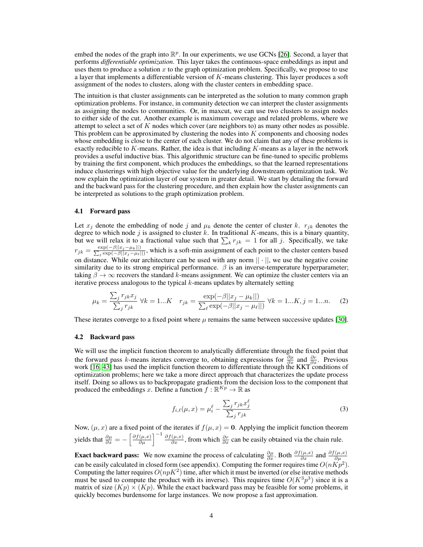embed the nodes of the graph into  $\mathbb{R}^p$ . In our experiments, we use GCNs [\[26\]](#page-10-5). Second, a layer that performs *differentiable optimization*. This layer takes the continuous-space embeddings as input and uses them to produce a solution x to the graph optimization problem. Specifically, we propose to use a layer that implements a differentiable version of K-means clustering. This layer produces a soft assignment of the nodes to clusters, along with the cluster centers in embedding space.

The intuition is that cluster assignments can be interpreted as the solution to many common graph optimization problems. For instance, in community detection we can interpret the cluster assignments as assigning the nodes to communities. Or, in maxcut, we can use two clusters to assign nodes to either side of the cut. Another example is maximum coverage and related problems, where we attempt to select a set of  $K$  nodes which cover (are neighbors to) as many other nodes as possible. This problem can be approximated by clustering the nodes into  $K$  components and choosing nodes whose embedding is close to the center of each cluster. We do not claim that any of these problems is exactly reducible to  $K$ -means. Rather, the idea is that including  $K$ -means as a layer in the network provides a useful inductive bias. This algorithmic structure can be fine-tuned to specific problems by training the first component, which produces the embeddings, so that the learned representations induce clusterings with high objective value for the underlying downstream optimization task. We now explain the optimization layer of our system in greater detail. We start by detailing the forward and the backward pass for the clustering procedure, and then explain how the cluster assignments can be interpreted as solutions to the graph optimization problem.

#### 4.1 Forward pass

Let  $x_j$  denote the embedding of node j and  $\mu_k$  denote the center of cluster k.  $r_{jk}$  denotes the degree to which node j is assigned to cluster k. In traditional K-means, this is a binary quantity, but we will relax it to a fractional value such that  $\sum_k r_{jk} = 1$  for all j. Specifically, we take  $r_{jk} = \frac{\exp(-\beta||x_j-\mu_k||)}{\sum_{\ell} \exp(-\beta||x_j-\mu_\ell|)}$  $\frac{\exp(-\beta||x_j-\mu_k||)}{e^{\exp(-\beta||x_j-\mu_\ell||)}},$  which is a soft-min assignment of each point to the cluster centers based on distance. While our architecture can be used with any norm  $|| \cdot ||$ , we use the negative cosine similarity due to its strong empirical performance.  $\beta$  is an inverse-temperature hyperparameter; taking  $\beta \to \infty$  recovers the standard k-means assignment. We can optimize the cluster centers via an iterative process analogous to the typical  $k$ -means updates by alternately setting

$$
\mu_k = \frac{\sum_j r_{jk} x_j}{\sum_j r_{jk}} \ \forall k = 1...K \quad r_{jk} = \frac{\exp(-\beta ||x_j - \mu_k||)}{\sum_{\ell} \exp(-\beta ||x_j - \mu_{\ell}||)} \ \forall k = 1...K, j = 1...n. \tag{2}
$$

These iterates converge to a fixed point where  $\mu$  remains the same between successive updates [\[30\]](#page-10-13).

#### 4.2 Backward pass

We will use the implicit function theorem to analytically differentiate through the fixed point that the forward pass k-means iterates converge to, obtaining expressions for  $\frac{\partial \mu}{\partial x}$  and  $\frac{\partial r}{\partial x}$ . Previous work [\[16,](#page-9-1) [43\]](#page-10-3) has used the implicit function theorem to differentiate through the KKT conditions of optimization problems; here we take a more direct approach that characterizes the update process itself. Doing so allows us to backpropagate gradients from the decision loss to the component that produced the embeddings x. Define a function  $f : \mathbb{R}^{K_p} \to \mathbb{R}$  as

<span id="page-3-1"></span><span id="page-3-0"></span>
$$
f_{i,\ell}(\mu, x) = \mu_i^{\ell} - \frac{\sum_j r_{jk} x_j^{\ell}}{\sum_j r_{jk}}
$$
\n(3)

Now,  $(\mu, x)$  are a fixed point of the iterates if  $f(\mu, x) = 0$ . Applying the implicit function theorem yields that  $\frac{\partial \mu}{\partial x} = -\left[\frac{\partial f(\mu,x)}{\partial \mu}\right]^{-1} \frac{\partial f(\mu,x)}{\partial x}$ , from which  $\frac{\partial r}{\partial x}$  can be easily obtained via the chain rule.

**Exact backward pass:** We now examine the process of calculating  $\frac{\partial \mu}{\partial x}$ . Both  $\frac{\partial f(\mu,x)}{\partial x}$  and  $\frac{\partial f(\mu,x)}{\partial \mu}$ can be easily calculated in closed form (see appendix). Computing the former requires time  $O(nKp^2)$ . Computing the latter requires  $O(npK^2)$  time, after which it must be inverted (or else iterative methods must be used to compute the product with its inverse). This requires time  $O(K^3p^3)$  since it is a matrix of size  $(Kp) \times (Kp)$ . While the exact backward pass may be feasible for some problems, it quickly becomes burdensome for large instances. We now propose a fast approximation.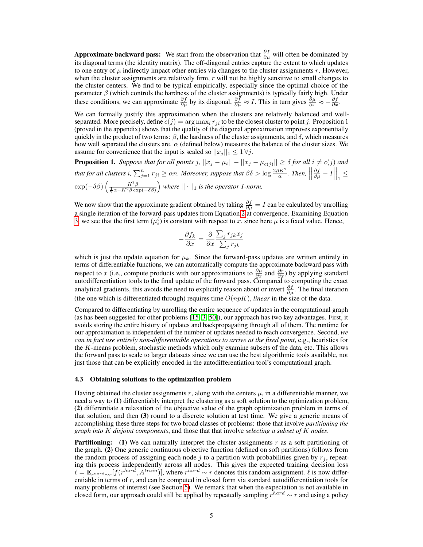Approximate backward pass: We start from the observation that  $\frac{\partial f}{\partial \mu}$  will often be dominated by its diagonal terms (the identity matrix). The off-diagonal entries capture the extent to which updates to one entry of  $\mu$  indirectly impact other entries via changes to the cluster assignments r. However, when the cluster assignments are relatively firm,  $r$  will not be highly sensitive to small changes to the cluster centers. We find to be typical empirically, especially since the optimal choice of the parameter  $\beta$  (which controls the hardness of the cluster assignments) is typically fairly high. Under these conditions, we can approximate  $\frac{\partial f}{\partial \mu}$  by its diagonal,  $\frac{\partial f}{\partial \mu} \approx I$ . This in turn gives  $\frac{\partial \mu}{\partial x} \approx -\frac{\partial f}{\partial x}$ .

We can formally justify this approximation when the clusters are relatively balanced and wellseparated. More precisely, define  $c(j) = \arg \max_i r_{ji}$  to be the closest cluster to point j. Proposition 1 (proved in the appendix) shows that the quality of the diagonal approximation improves exponentially quickly in the product of two terms:  $\beta$ , the hardness of the cluster assignments, and  $\delta$ , which measures how well separated the clusters are.  $\alpha$  (defined below) measures the balance of the cluster sizes. We assume for convenience that the input is scaled so  $||x_i||_1 \leq 1 \forall j$ .

**Proposition 1.** Suppose that for all points  $j$ ,  $||x_j - \mu_i|| - ||x_j - \mu_{c(j)}|| \ge \delta$  for all  $i \ne c(j)$  and *that for all clusters i,*  $\sum_{j=1}^{n} r_{ji} \ge \alpha n$ *. Moreover, suppose that*  $\beta \delta > \log \frac{2\beta K^2}{\alpha}$ *. Then,*   $\frac{\partial f}{\partial \mu} - I$  $\Big|_1 \leq$  $\exp(-\delta\beta)\left(\frac{K^2\beta}{\frac{1}{2}\alpha-K^2\beta\exp(-\delta\beta)}\right)$ *where*  $|| \cdot ||_1$  *is the operator 1-norm.* 

We now show that the approximate gradient obtained by taking  $\frac{\partial f}{\partial \mu} = I$  can be calculated by unrolling a single iteration of the forward-pass updates from Equation [2](#page-3-0) at convergence. Examining Equation [3,](#page-3-1) we see that the first term  $(\mu_i^{\ell})$  is constant with respect to x, since here  $\mu$  is a fixed value. Hence,

$$
-\frac{\partial f_k}{\partial x} = \frac{\partial}{\partial x} \frac{\sum_j r_{jk} x_j}{\sum_j r_{jk}}
$$

which is just the update equation for  $\mu_k$ . Since the forward-pass updates are written entirely in terms of differentiable functions, we can automatically compute the approximate backward pass with respect to x (i.e., compute products with our approximations to  $\frac{\partial \mu}{\partial x}$  and  $\frac{\partial r}{\partial x}$ ) by applying standard autodifferentiation tools to the final update of the forward pass. Compared to computing the exact analytical gradients, this avoids the need to explicitly reason about or invert  $\frac{\partial f}{\partial \mu}$ . The final iteration (the one which is differentiated through) requires time  $O(npK)$ , *linear* in the size of the data.

Compared to differentiating by unrolling the entire sequence of updates in the computational graph (as has been suggested for other problems [\[15,](#page-9-11) [3,](#page-9-12) [50\]](#page-11-5)), our approach has two key advantages. First, it avoids storing the entire history of updates and backpropagating through all of them. The runtime for our approximation is independent of the number of updates needed to reach convergence. Second, *we can in fact use entirely non-differentiable operations to arrive at the fixed point*, e.g., heuristics for the K-means problem, stochastic methods which only examine subsets of the data, etc. This allows the forward pass to scale to larger datasets since we can use the best algorithmic tools available, not just those that can be explicitly encoded in the autodifferentiation tool's computational graph.

#### 4.3 Obtaining solutions to the optimization problem

Having obtained the cluster assignments r, along with the centers  $\mu$ , in a differentiable manner, we need a way to (1) differentiably interpret the clustering as a soft solution to the optimization problem, (2) differentiate a relaxation of the objective value of the graph optimization problem in terms of that solution, and then (3) round to a discrete solution at test time. We give a generic means of accomplishing these three steps for two broad classes of problems: those that involve *partitioning the graph into* K *disjoint components*, and those that that involve *selecting a subset of* K *nodes*.

**Partitioning:** (1) We can naturally interpret the cluster assignments r as a soft partitioning of the graph. (2) One generic continuous objective function (defined on soft partitions) follows from the random process of assigning each node j to a partition with probabilities given by  $r_j$ , repeating this process independently across all nodes. This gives the expected training decision loss  $\ell = \mathbb{E}_{r^{hard} \sim r} [f(r^{hard}, A^{train})],$  where  $r^{hard} \sim r$  denotes this random assignment.  $\ell$  is now differentiable in terms of  $r$ , and can be computed in closed form via standard autodifferentiation tools for many problems of interest (see Section [5\)](#page-5-0). We remark that when the expectation is not available in closed form, our approach could still be applied by repeatedly sampling  $r^{hard} \sim r$  and using a policy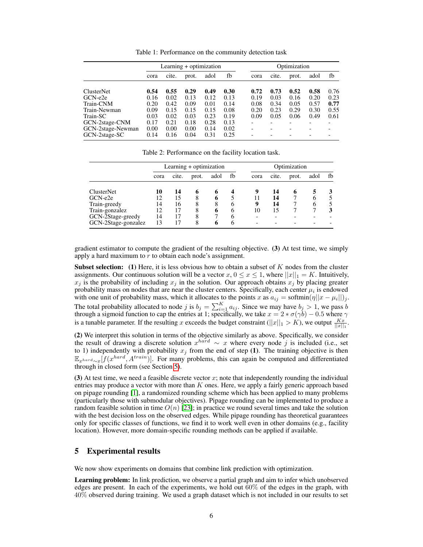<span id="page-5-1"></span>Table 1: Performance on the community detection task

|                   | Learning + optimization |       |       |      |      | Optimization |       |       |      |      |
|-------------------|-------------------------|-------|-------|------|------|--------------|-------|-------|------|------|
|                   | cora                    | cite. | prot. | adol | fb   | cora         | cite. | prot. | adol | fb   |
| <b>ClusterNet</b> | 0.54                    | 0.55  | 0.29  | 0.49 | 0.30 | 0.72         | 0.73  | 0.52  | 0.58 | 0.76 |
| GCN-e2e           | 0.16                    | 0.02  | 0.13  | 0.12 | 0.13 | 0.19         | 0.03  | 0.16  | 0.20 | 0.23 |
| Train-CNM         | 0.20                    | 0.42  | 0.09  | 0.01 | 0.14 | 0.08         | 0.34  | 0.05  | 0.57 | 0.77 |
| Train-Newman      | 0.09                    | 0.15  | 0.15  | 0.15 | 0.08 | 0.20         | 0.23  | 0.29  | 0.30 | 0.55 |
| Train-SC          | 0.03                    | 0.02  | 0.03  | 0.23 | 0.19 | 0.09         | 0.05  | 0.06  | 0.49 | 0.61 |
| GCN-2stage-CNM    | 0.17                    | 0.21  | 0.18  | 0.28 | 0.13 |              |       | -     |      | -    |
| GCN-2stage-Newman | 0.00                    | 0.00  | 0.00  | 0.14 | 0.02 |              |       |       |      |      |
| GCN-2stage-SC     | 0.14                    | 0.16  | 0.04  | 0.31 | 0.25 |              |       |       |      |      |

<span id="page-5-2"></span>Table 2: Performance on the facility location task.

|                     |      |       | Learning + optimization |      |              | Optimization |       |       |      |    |  |
|---------------------|------|-------|-------------------------|------|--------------|--------------|-------|-------|------|----|--|
|                     | cora | cite. | prot.                   | adol | fb           | cora         | cite. | prot. | adol | fb |  |
| <b>ClusterNet</b>   | 10   | 14    | 6                       |      |              | 9            | 14    | 6     |      |    |  |
| $GCN-e2e$           | 12   | 15    | 8                       | o    |              |              | 14    |       |      |    |  |
| Train-greedy        | 14   | 16    | 8                       | 8    | <sub>b</sub> | 9            | 14    |       | 6    |    |  |
| Train-gonzalez      | 12   | 17    | 8                       | 6    | 6            | 10           | 15    |       |      |    |  |
| GCN-2Stage-greedy   | 14   |       | 8                       |      | 6            |              |       |       |      |    |  |
| GCN-2Stage-gonzalez | 13   | 17    | 8                       | 6    | 6            |              |       |       |      |    |  |

gradient estimator to compute the gradient of the resulting objective. (3) At test time, we simply apply a hard maximum to  $r$  to obtain each node's assignment.

**Subset selection:** (1) Here, it is less obvious how to obtain a subset of  $K$  nodes from the cluster assignments. Our continuous solution will be a vector  $x, 0 \le x \le 1$ , where  $||x||_1 = K$ . Intuitively,  $x_j$  is the probability of including  $x_j$  in the solution. Our approach obtains  $x_j$  by placing greater probability mass on nodes that are near the cluster centers. Specifically, each center  $\mu_i$  is endowed with one unit of probability mass, which it allocates to the points x as  $a_{ij} = \text{softmax}(\eta ||x - \mu_i||)_j$ . The total probability allocated to node j is  $b_j = \sum_{i=1}^{K} a_{ij}$ . Since we may have  $b_j > 1$ , we pass b through a sigmoid function to cap the entries at 1; specifically, we take  $x = 2 * \sigma(\gamma b) - 0.5$  where  $\gamma$ is a tunable parameter. If the resulting x exceeds the budget constraint ( $||x||_1 > K$ ), we output  $\frac{Kx}{||x||_1}$ .

(2) We interpret this solution in terms of the objective similarly as above. Specifically, we consider the result of drawing a discrete solution  $x^{hard} \sim x$  where every node j is included (i.e., set to 1) independently with probability  $x_j$  from the end of step (1). The training objective is then  $\mathbb{E}_{x^{hard} \sim x}[f(x^{hard}, A^{train})]$ . For many problems, this can again be computed and differentiated through in closed form (see Section [5\)](#page-5-0).

(3) At test time, we need a feasible discrete vector  $x$ ; note that independently rounding the individual entries may produce a vector with more than  $K$  ones. Here, we apply a fairly generic approach based on pipage rounding [\[1\]](#page-8-1), a randomized rounding scheme which has been applied to many problems (particularly those with submodular objectives). Pipage rounding can be implemented to produce a random feasible solution in time  $O(n)$  [\[23\]](#page-10-14); in practice we round several times and take the solution with the best decision loss on the observed edges. While pipage rounding has theoretical guarantees only for specific classes of functions, we find it to work well even in other domains (e.g., facility location). However, more domain-specific rounding methods can be applied if available.

### <span id="page-5-0"></span>5 Experimental results

We now show experiments on domains that combine link prediction with optimization.

Learning problem: In link prediction, we observe a partial graph and aim to infer which unobserved edges are present. In each of the experiments, we hold out 60% of the edges in the graph, with 40% observed during training. We used a graph dataset which is not included in our results to set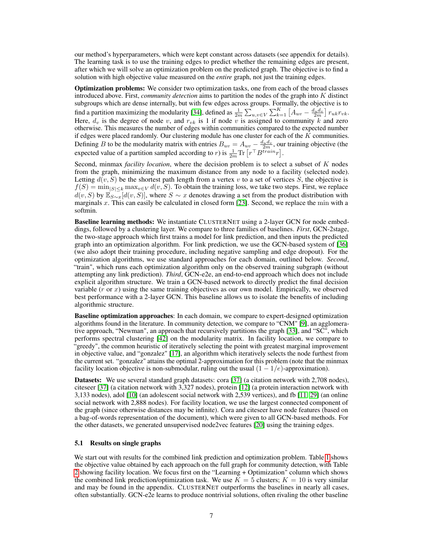our method's hyperparameters, which were kept constant across datasets (see appendix for details). The learning task is to use the training edges to predict whether the remaining edges are present, after which we will solve an optimization problem on the predicted graph. The objective is to find a solution with high objective value measured on the *entire* graph, not just the training edges.

Optimization problems: We consider two optimization tasks, one from each of the broad classes introduced above. First, *community detection* aims to partition the nodes of the graph into K distinct subgroups which are dense internally, but with few edges across groups. Formally, the objective is to find a partition maximizing the modularity [\[34\]](#page-10-15), defined as  $\frac{1}{2m} \sum_{u,v \in V} \sum_{k=1}^{K} \left[ A_{uv} - \frac{d_u d_v}{2m} \right] r_{uk} r_{vk}$ . Here,  $d_v$  is the degree of node v, and  $r_{vk}$  is 1 if node v is assigned to community k and zero otherwise. This measures the number of edges within communities compared to the expected number if edges were placed randomly. Our clustering module has one cluster for each of the  $K$  communities. Defining B to be the modularity matrix with entries  $B_{uv} = A_{uv} - \frac{d_u d_v}{2m}$ , our training objective (the expected value of a partition sampled according to r) is  $\frac{1}{2m} \text{Tr} \left[ r^{\top} B^{train} r \right]$ .

Second, minmax *facility location*, where the decision problem is to select a subset of K nodes from the graph, minimizing the maximum distance from any node to a facility (selected node). Letting  $d(v, S)$  be the shortest path length from a vertex v to a set of vertices S, the objective is  $f(S) = \min_{|S| \le k} \max_{v \in V} d(v, S)$ . To obtain the training loss, we take two steps. First, we replace  $d(v, S)$  by  $\mathbb{E}_{S \sim x}[d(v, S)]$ , where  $S \sim x$  denotes drawing a set from the product distribution with marginals  $x$ . This can easily be calculated in closed form [\[23\]](#page-10-14). Second, we replace the min with a softmin.

Baseline learning methods: We instantiate CLUSTERNET using a 2-layer GCN for node embeddings, followed by a clustering layer. We compare to three families of baselines. *First*, GCN-2stage, the two-stage approach which first trains a model for link prediction, and then inputs the predicted graph into an optimization algorithm. For link prediction, we use the GCN-based system of [\[36\]](#page-10-6) (we also adopt their training procedure, including negative sampling and edge dropout). For the optimization algorithms, we use standard approaches for each domain, outlined below. *Second*, "train", which runs each optimization algorithm only on the observed training subgraph (without attempting any link prediction). *Third*, GCN-e2e, an end-to-end approach which does not include explicit algorithm structure. We train a GCN-based network to directly predict the final decision variable  $(r \text{ or } x)$  using the same training objectives as our own model. Empirically, we observed best performance with a 2-layer GCN. This baseline allows us to isolate the benefits of including algorithmic structure.

Baseline optimization approaches: In each domain, we compare to expert-designed optimization algorithms found in the literature. In community detection, we compare to "CNM" [\[9\]](#page-9-13), an agglomerative approach, "Newman", an approach that recursively partitions the graph [\[33\]](#page-10-16), and "SC", which performs spectral clustering [\[42\]](#page-10-17) on the modularity matrix. In facility location, we compare to "greedy", the common heuristic of iteratively selecting the point with greatest marginal improvement in objective value, and "gonzalez" [\[17\]](#page-9-14), an algorithm which iteratively selects the node furthest from the current set. "gonzalez" attains the optimal 2-approximation for this problem (note that the minmax facility location objective is non-submodular, ruling out the usual  $(1 - 1/e)$ -approximation).

Datasets: We use several standard graph datasets: cora [\[37\]](#page-10-18) (a citation network with 2,708 nodes), citeseer [\[37\]](#page-10-18) (a citation network with 3,327 nodes), protein [\[12\]](#page-9-15) (a protein interaction network with 3,133 nodes), adol [\[10\]](#page-9-16) (an adolescent social network with 2,539 vertices), and fb [\[11,](#page-9-17) [29\]](#page-10-19) (an online social network with 2,888 nodes). For facility location, we use the largest connected component of the graph (since otherwise distances may be infinite). Cora and citeseer have node features (based on a bag-of-words representation of the document), which were given to all GCN-based methods. For the other datasets, we generated unsupervised node2vec features [\[20\]](#page-9-18) using the training edges.

#### <span id="page-6-0"></span>5.1 Results on single graphs

We start out with results for the combined link prediction and optimization problem. Table [1](#page-5-1) shows the objective value obtained by each approach on the full graph for community detection, with Table [2](#page-5-2) showing facility location. We focus first on the "Learning + Optimization" column which shows the combined link prediction/optimization task. We use  $K = 5$  clusters;  $K = 10$  is very similar and may be found in the appendix. CLUSTERNET outperforms the baselines in nearly all cases, often substantially. GCN-e2e learns to produce nontrivial solutions, often rivaling the other baseline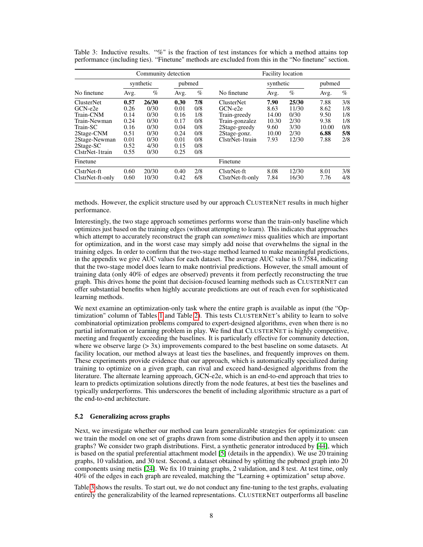|                   |      | Community detection |        |      | <b>Facility</b> location |           |       |        |      |  |  |
|-------------------|------|---------------------|--------|------|--------------------------|-----------|-------|--------|------|--|--|
| No finetune       |      | synthetic           | pubmed |      |                          | synthetic |       | pubmed |      |  |  |
|                   | Avg. | %                   | Avg.   | $\%$ | No finetune              | Avg.      | $\%$  | Avg.   | $\%$ |  |  |
| <b>ClusterNet</b> | 0.57 | 26/30               | 0.30   | 7/8  | <b>ClusterNet</b>        | 7.90      | 25/30 | 7.88   | 3/8  |  |  |
| $GCN-e2e$         | 0.26 | 0/30                | 0.01   | 0/8  | $GCN-e2e$                | 8.63      | 11/30 | 8.62   | 1/8  |  |  |
| Train-CNM         | 0.14 | 0/30                | 0.16   | 1/8  | Train-greedy             | 14.00     | 0/30  | 9.50   | 1/8  |  |  |
| Train-Newman      | 0.24 | 0/30                | 0.17   | 0/8  | Train-gonzalez           | 10.30     | 2/30  | 9.38   | 1/8  |  |  |
| Train-SC          | 0.16 | 0/30                | 0.04   | 0/8  | 2Stage-greedy            | 9.60      | 3/30  | 10.00  | 0/8  |  |  |
| 2Stage-CNM        | 0.51 | 0/30                | 0.24   | 0/8  | 2Stage-gonz.             | 10.00     | 2/30  | 6.88   | 5/8  |  |  |
| 2Stage-Newman     | 0.01 | 0/30                | 0.01   | 0/8  | ClstrNet-1train          | 7.93      | 12/30 | 7.88   | 2/8  |  |  |
| $2Stage-SC$       | 0.52 | 4/30                | 0.15   | 0/8  |                          |           |       |        |      |  |  |
| ClstrNet-1train   | 0.55 | 0/30                | 0.25   | 0/8  |                          |           |       |        |      |  |  |
| Finetune          |      |                     |        |      | Finetune                 |           |       |        |      |  |  |
| ClstrNet-ft       | 0.60 | 20/30               | 0.40   | 2/8  | ClstrNet-ft              | 8.08      | 12/30 | 8.01   | 3/8  |  |  |
| ClstrNet-ft-only  | 0.60 | 10/30               | 0.42   | 6/8  | ClstrNet-ft-only         | 7.84      | 16/30 | 7.76   | 4/8  |  |  |

<span id="page-7-0"></span>Table 3: Inductive results. "%" is the fraction of test instances for which a method attains top performance (including ties). "Finetune" methods are excluded from this in the "No finetune" section.

methods. However, the explicit structure used by our approach CLUSTERNET results in much higher performance.

Interestingly, the two stage approach sometimes performs worse than the train-only baseline which optimizes just based on the training edges (without attempting to learn). This indicates that approaches which attempt to accurately reconstruct the graph can *sometimes* miss qualities which are important for optimization, and in the worst case may simply add noise that overwhelms the signal in the training edges. In order to confirm that the two-stage method learned to make meaningful predictions, in the appendix we give AUC values for each dataset. The average AUC value is 0.7584, indicating that the two-stage model does learn to make nontrivial predictions. However, the small amount of training data (only 40% of edges are observed) prevents it from perfectly reconstructing the true graph. This drives home the point that decision-focused learning methods such as CLUSTERNET can offer substantial benefits when highly accurate predictions are out of reach even for sophisticated learning methods.

We next examine an optimization-only task where the entire graph is available as input (the "Optimization" column of Tables [1](#page-5-1) and Table [2\)](#page-5-2). This tests CLUSTERNET's ability to learn to solve combinatorial optimization problems compared to expert-designed algorithms, even when there is no partial information or learning problem in play. We find that CLUSTERNET is highly competitive, meeting and frequently exceeding the baselines. It is particularly effective for community detection, where we observe large  $(> 3x)$  improvements compared to the best baseline on some datasets. At facility location, our method always at least ties the baselines, and frequently improves on them. These experiments provide evidence that our approach, which is automatically specialized during training to optimize on a given graph, can rival and exceed hand-designed algorithms from the literature. The alternate learning approach, GCN-e2e, which is an end-to-end approach that tries to learn to predicts optimization solutions directly from the node features, at best ties the baselines and typically underperforms. This underscores the benefit of including algorithmic structure as a part of the end-to-end architecture.

## 5.2 Generalizing across graphs

Next, we investigate whether our method can learn generalizable strategies for optimization: can we train the model on one set of graphs drawn from some distribution and then apply it to unseen graphs? We consider two graph distributions. First, a synthetic generator introduced by [\[44\]](#page-11-6), which is based on the spatial preferential attachment model [\[5\]](#page-9-19) (details in the appendix). We use 20 training graphs, 10 validation, and 30 test. Second, a dataset obtained by splitting the pubmed graph into 20 components using metis [\[24\]](#page-10-20). We fix 10 training graphs, 2 validation, and 8 test. At test time, only 40% of the edges in each graph are revealed, matching the "Learning + optimization" setup above.

Table [3](#page-7-0) shows the results. To start out, we do not conduct any fine-tuning to the test graphs, evaluating entirely the generalizability of the learned representations. CLUSTERNET outperforms all baseline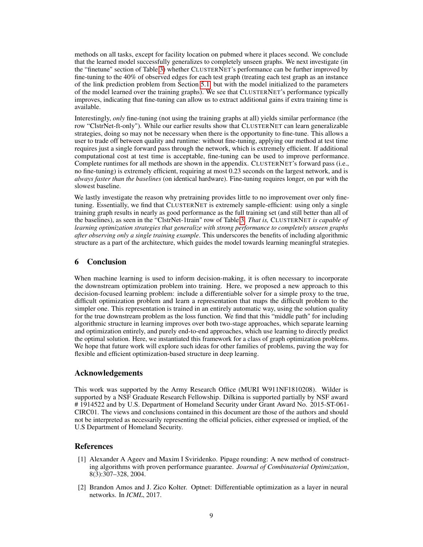methods on all tasks, except for facility location on pubmed where it places second. We conclude that the learned model successfully generalizes to completely unseen graphs. We next investigate (in the "finetune" section of Table [3\)](#page-7-0) whether CLUSTERNET's performance can be further improved by fine-tuning to the 40% of observed edges for each test graph (treating each test graph as an instance of the link prediction problem from Section [5.1,](#page-6-0) but with the model initialized to the parameters of the model learned over the training graphs). We see that CLUSTERNET's performance typically improves, indicating that fine-tuning can allow us to extract additional gains if extra training time is available.

Interestingly, *only* fine-tuning (not using the training graphs at all) yields similar performance (the row "ClstrNet-ft-only"). While our earlier results show that CLUSTERNET can learn generalizable strategies, doing so may not be necessary when there is the opportunity to fine-tune. This allows a user to trade off between quality and runtime: without fine-tuning, applying our method at test time requires just a single forward pass through the network, which is extremely efficient. If additional computational cost at test time is acceptable, fine-tuning can be used to improve performance. Complete runtimes for all methods are shown in the appendix. CLUSTERNET's forward pass (i.e., no fine-tuning) is extremely efficient, requiring at most 0.23 seconds on the largest network, and is *always faster than the baselines* (on identical hardware). Fine-tuning requires longer, on par with the slowest baseline.

We lastly investigate the reason why pretraining provides little to no improvement over only finetuning. Essentially, we find that CLUSTERNET is extremely sample-efficient: using only a single training graph results in nearly as good performance as the full training set (and still better than all of the baselines), as seen in the "ClstrNet-1train" row of Table [3.](#page-7-0) *That is,* CLUSTERNET *is capable of learning optimization strategies that generalize with strong performance to completely unseen graphs after observing only a single training example*. This underscores the benefits of including algorithmic structure as a part of the architecture, which guides the model towards learning meaningful strategies.

## 6 Conclusion

When machine learning is used to inform decision-making, it is often necessary to incorporate the downstream optimization problem into training. Here, we proposed a new approach to this decision-focused learning problem: include a differentiable solver for a simple proxy to the true, difficult optimization problem and learn a representation that maps the difficult problem to the simpler one. This representation is trained in an entirely automatic way, using the solution quality for the true downstream problem as the loss function. We find that this "middle path" for including algorithmic structure in learning improves over both two-stage approaches, which separate learning and optimization entirely, and purely end-to-end approaches, which use learning to directly predict the optimal solution. Here, we instantiated this framework for a class of graph optimization problems. We hope that future work will explore such ideas for other families of problems, paving the way for flexible and efficient optimization-based structure in deep learning.

## Acknowledgements

This work was supported by the Army Research Office (MURI W911NF1810208). Wilder is supported by a NSF Graduate Research Fellowship. Dilkina is supported partially by NSF award # 1914522 and by U.S. Department of Homeland Security under Grant Award No. 2015-ST-061- CIRC01. The views and conclusions contained in this document are those of the authors and should not be interpreted as necessarily representing the official policies, either expressed or implied, of the U.S Department of Homeland Security.

## References

- <span id="page-8-1"></span>[1] Alexander A Ageev and Maxim I Sviridenko. Pipage rounding: A new method of constructing algorithms with proven performance guarantee. *Journal of Combinatorial Optimization*, 8(3):307–328, 2004.
- <span id="page-8-0"></span>[2] Brandon Amos and J. Zico Kolter. Optnet: Differentiable optimization as a layer in neural networks. In *ICML*, 2017.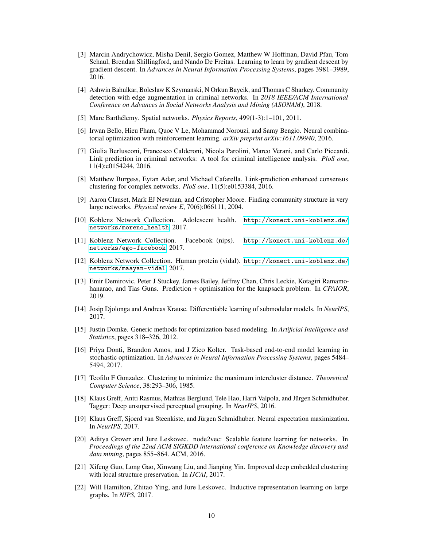- <span id="page-9-12"></span>[3] Marcin Andrychowicz, Misha Denil, Sergio Gomez, Matthew W Hoffman, David Pfau, Tom Schaul, Brendan Shillingford, and Nando De Freitas. Learning to learn by gradient descent by gradient descent. In *Advances in Neural Information Processing Systems*, pages 3981–3989, 2016.
- <span id="page-9-4"></span>[4] Ashwin Bahulkar, Boleslaw K Szymanski, N Orkun Baycik, and Thomas C Sharkey. Community detection with edge augmentation in criminal networks. In *2018 IEEE/ACM International Conference on Advances in Social Networks Analysis and Mining (ASONAM)*, 2018.
- <span id="page-9-19"></span>[5] Marc Barthélemy. Spatial networks. *Physics Reports*, 499(1-3):1–101, 2011.
- <span id="page-9-0"></span>[6] Irwan Bello, Hieu Pham, Quoc V Le, Mohammad Norouzi, and Samy Bengio. Neural combinatorial optimization with reinforcement learning. *arXiv preprint arXiv:1611.09940*, 2016.
- <span id="page-9-5"></span>[7] Giulia Berlusconi, Francesco Calderoni, Nicola Parolini, Marco Verani, and Carlo Piccardi. Link prediction in criminal networks: A tool for criminal intelligence analysis. *PloS one*, 11(4):e0154244, 2016.
- <span id="page-9-3"></span>[8] Matthew Burgess, Eytan Adar, and Michael Cafarella. Link-prediction enhanced consensus clustering for complex networks. *PloS one*, 11(5):e0153384, 2016.
- <span id="page-9-13"></span>[9] Aaron Clauset, Mark EJ Newman, and Cristopher Moore. Finding community structure in very large networks. *Physical review E*, 70(6):066111, 2004.
- <span id="page-9-16"></span>[10] Koblenz Network Collection. Adolescent health. [http://konect.uni-koblenz.de/](http://konect.uni-koblenz.de/networks/moreno_health) [networks/moreno\\_health](http://konect.uni-koblenz.de/networks/moreno_health), 2017.
- <span id="page-9-17"></span>[11] Koblenz Network Collection. Facebook (nips). [http://konect.uni-koblenz.de/](http://konect.uni-koblenz.de/networks/ego-facebook) [networks/ego-facebook](http://konect.uni-koblenz.de/networks/ego-facebook), 2017.
- <span id="page-9-15"></span>[12] Koblenz Network Collection. Human protein (vidal). [http://konect.uni-koblenz.de/](http://konect.uni-koblenz.de/networks/maayan-vidal) [networks/maayan-vidal](http://konect.uni-koblenz.de/networks/maayan-vidal), 2017.
- <span id="page-9-6"></span>[13] Emir Demirovic, Peter J Stuckey, James Bailey, Jeffrey Chan, Chris Leckie, Kotagiri Ramamohanarao, and Tias Guns. Prediction + optimisation for the knapsack problem. In *CPAIOR*, 2019.
- <span id="page-9-7"></span>[14] Josip Djolonga and Andreas Krause. Differentiable learning of submodular models. In *NeurIPS*, 2017.
- <span id="page-9-11"></span>[15] Justin Domke. Generic methods for optimization-based modeling. In *Artificial Intelligence and Statistics*, pages 318–326, 2012.
- <span id="page-9-1"></span>[16] Priya Donti, Brandon Amos, and J Zico Kolter. Task-based end-to-end model learning in stochastic optimization. In *Advances in Neural Information Processing Systems*, pages 5484– 5494, 2017.
- <span id="page-9-14"></span>[17] Teofilo F Gonzalez. Clustering to minimize the maximum intercluster distance. *Theoretical Computer Science*, 38:293–306, 1985.
- <span id="page-9-9"></span>[18] Klaus Greff, Antti Rasmus, Mathias Berglund, Tele Hao, Harri Valpola, and Jürgen Schmidhuber. Tagger: Deep unsupervised perceptual grouping. In *NeurIPS*, 2016.
- <span id="page-9-10"></span>[19] Klaus Greff, Sjoerd van Steenkiste, and Jürgen Schmidhuber. Neural expectation maximization. In *NeurIPS*, 2017.
- <span id="page-9-18"></span>[20] Aditya Grover and Jure Leskovec. node2vec: Scalable feature learning for networks. In *Proceedings of the 22nd ACM SIGKDD international conference on Knowledge discovery and data mining*, pages 855–864. ACM, 2016.
- <span id="page-9-8"></span>[21] Xifeng Guo, Long Gao, Xinwang Liu, and Jianping Yin. Improved deep embedded clustering with local structure preservation. In *IJCAI*, 2017.
- <span id="page-9-2"></span>[22] Will Hamilton, Zhitao Ying, and Jure Leskovec. Inductive representation learning on large graphs. In *NIPS*, 2017.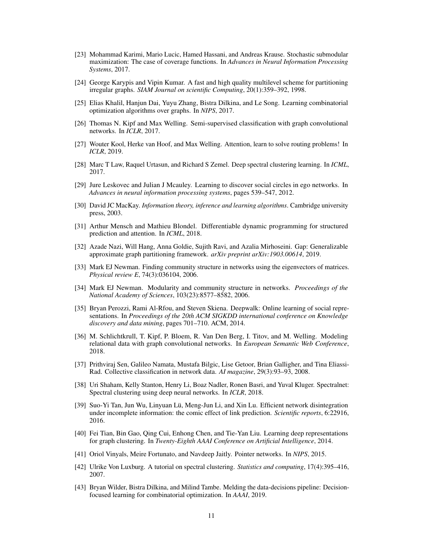- <span id="page-10-14"></span>[23] Mohammad Karimi, Mario Lucic, Hamed Hassani, and Andreas Krause. Stochastic submodular maximization: The case of coverage functions. In *Advances in Neural Information Processing Systems*, 2017.
- <span id="page-10-20"></span>[24] George Karypis and Vipin Kumar. A fast and high quality multilevel scheme for partitioning irregular graphs. *SIAM Journal on scientific Computing*, 20(1):359–392, 1998.
- <span id="page-10-1"></span>[25] Elias Khalil, Hanjun Dai, Yuyu Zhang, Bistra Dilkina, and Le Song. Learning combinatorial optimization algorithms over graphs. In *NIPS*, 2017.
- <span id="page-10-5"></span>[26] Thomas N. Kipf and Max Welling. Semi-supervised classification with graph convolutional networks. In *ICLR*, 2017.
- <span id="page-10-2"></span>[27] Wouter Kool, Herke van Hoof, and Max Welling. Attention, learn to solve routing problems! In *ICLR*, 2019.
- <span id="page-10-10"></span>[28] Marc T Law, Raquel Urtasun, and Richard S Zemel. Deep spectral clustering learning. In *ICML*, 2017.
- <span id="page-10-19"></span>[29] Jure Leskovec and Julian J Mcauley. Learning to discover social circles in ego networks. In *Advances in neural information processing systems*, pages 539–547, 2012.
- <span id="page-10-13"></span>[30] David JC MacKay. *Information theory, inference and learning algorithms*. Cambridge university press, 2003.
- <span id="page-10-8"></span>[31] Arthur Mensch and Mathieu Blondel. Differentiable dynamic programming for structured prediction and attention. In *ICML*, 2018.
- <span id="page-10-12"></span>[32] Azade Nazi, Will Hang, Anna Goldie, Sujith Ravi, and Azalia Mirhoseini. Gap: Generalizable approximate graph partitioning framework. *arXiv preprint arXiv:1903.00614*, 2019.
- <span id="page-10-16"></span>[33] Mark EJ Newman. Finding community structure in networks using the eigenvectors of matrices. *Physical review E*, 74(3):036104, 2006.
- <span id="page-10-15"></span>[34] Mark EJ Newman. Modularity and community structure in networks. *Proceedings of the National Academy of Sciences*, 103(23):8577–8582, 2006.
- <span id="page-10-4"></span>[35] Bryan Perozzi, Rami Al-Rfou, and Steven Skiena. Deepwalk: Online learning of social representations. In *Proceedings of the 20th ACM SIGKDD international conference on Knowledge discovery and data mining*, pages 701–710. ACM, 2014.
- <span id="page-10-6"></span>[36] M. Schlichtkrull, T. Kipf, P. Bloem, R. Van Den Berg, I. Titov, and M. Welling. Modeling relational data with graph convolutional networks. In *European Semantic Web Conference*, 2018.
- <span id="page-10-18"></span>[37] Prithviraj Sen, Galileo Namata, Mustafa Bilgic, Lise Getoor, Brian Galligher, and Tina Eliassi-Rad. Collective classification in network data. *AI magazine*, 29(3):93–93, 2008.
- <span id="page-10-11"></span>[38] Uri Shaham, Kelly Stanton, Henry Li, Boaz Nadler, Ronen Basri, and Yuval Kluger. Spectralnet: Spectral clustering using deep neural networks. In *ICLR*, 2018.
- <span id="page-10-7"></span>[39] Suo-Yi Tan, Jun Wu, Linyuan Lü, Meng-Jun Li, and Xin Lu. Efficient network disintegration under incomplete information: the comic effect of link prediction. *Scientific reports*, 6:22916, 2016.
- <span id="page-10-9"></span>[40] Fei Tian, Bin Gao, Qing Cui, Enhong Chen, and Tie-Yan Liu. Learning deep representations for graph clustering. In *Twenty-Eighth AAAI Conference on Artificial Intelligence*, 2014.
- <span id="page-10-0"></span>[41] Oriol Vinyals, Meire Fortunato, and Navdeep Jaitly. Pointer networks. In *NIPS*, 2015.
- <span id="page-10-17"></span>[42] Ulrike Von Luxburg. A tutorial on spectral clustering. *Statistics and computing*, 17(4):395–416, 2007.
- <span id="page-10-3"></span>[43] Bryan Wilder, Bistra Dilkina, and Milind Tambe. Melding the data-decisions pipeline: Decisionfocused learning for combinatorial optimization. In *AAAI*, 2019.